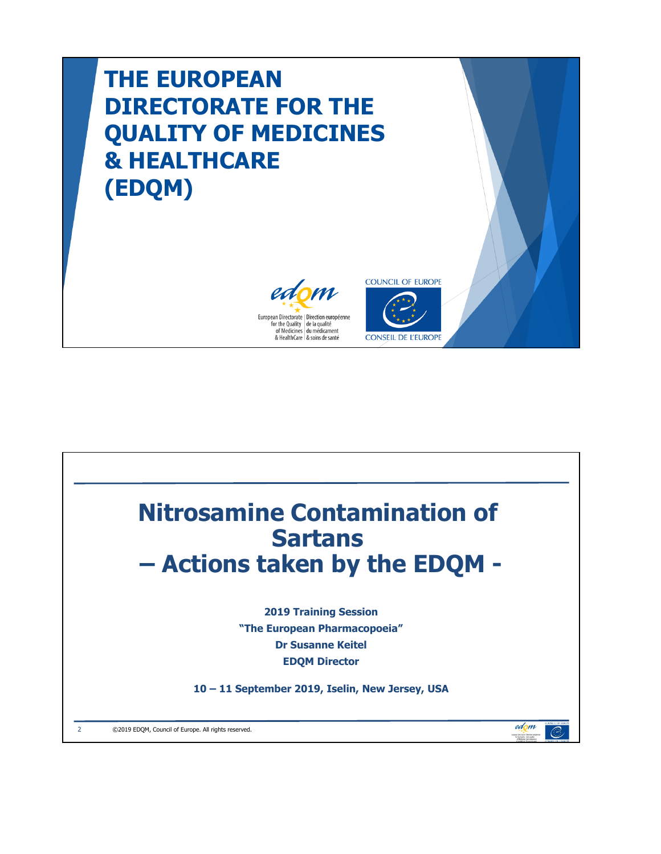# **THE EUROPEAN DIRECTORATE FOR THE QUALITY OF MEDICINES & HEALTHCARE (EDQM)**





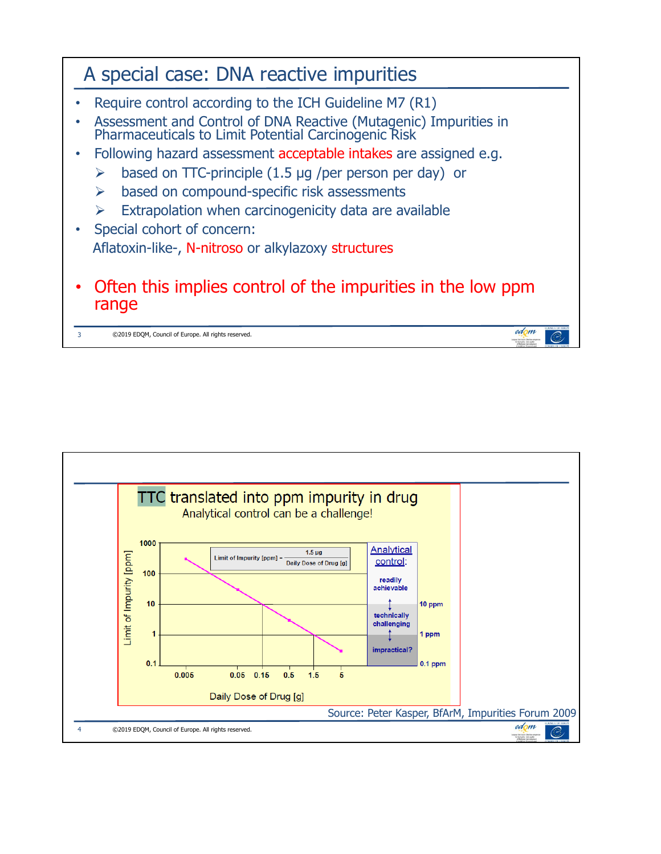

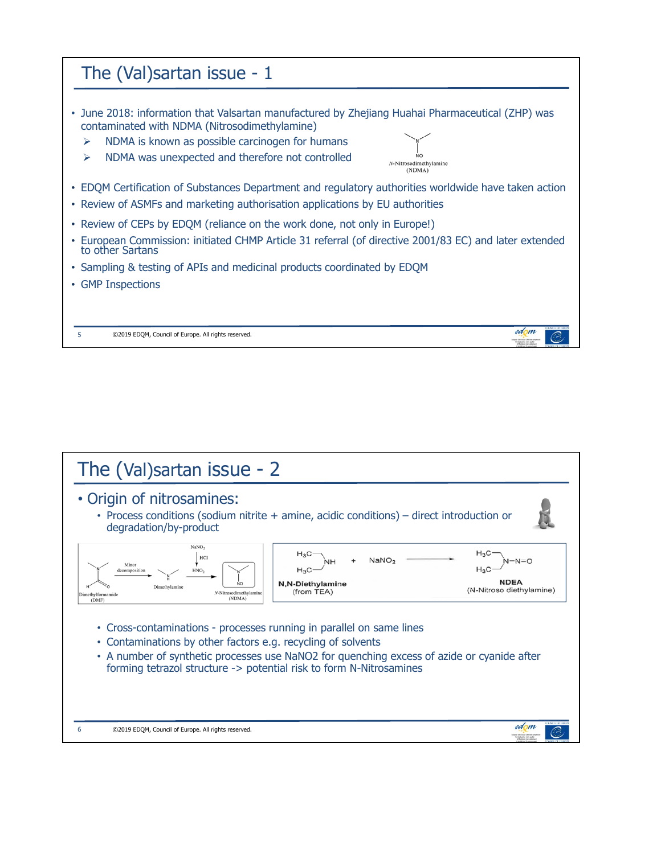

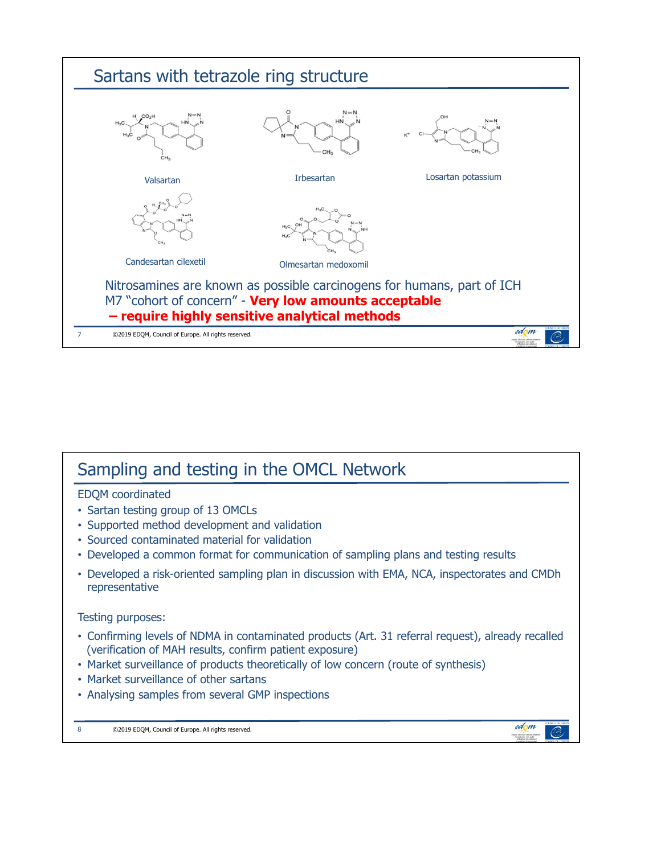

### Sampling and testing in the OMCL Network EDQM coordinated • Sartan testing group of 13 OMCLs • Supported method development and validation • Sourced contaminated material for validation • Developed a common format for communication of sampling plans and testing results • Developed a risk-oriented sampling plan in discussion with EMA, NCA, inspectorates and CMDh representative Testing purposes: • Confirming levels of NDMA in contaminated products (Art. 31 referral request), already recalled (verification of MAH results, confirm patient exposure) • Market surveillance of products theoretically of low concern (route of synthesis) • Market surveillance of other sartans • Analysing samples from several GMP inspections edom 8 ©2019 EDQM, Council of Europe. All rights reserved.  $\mathcal{O}$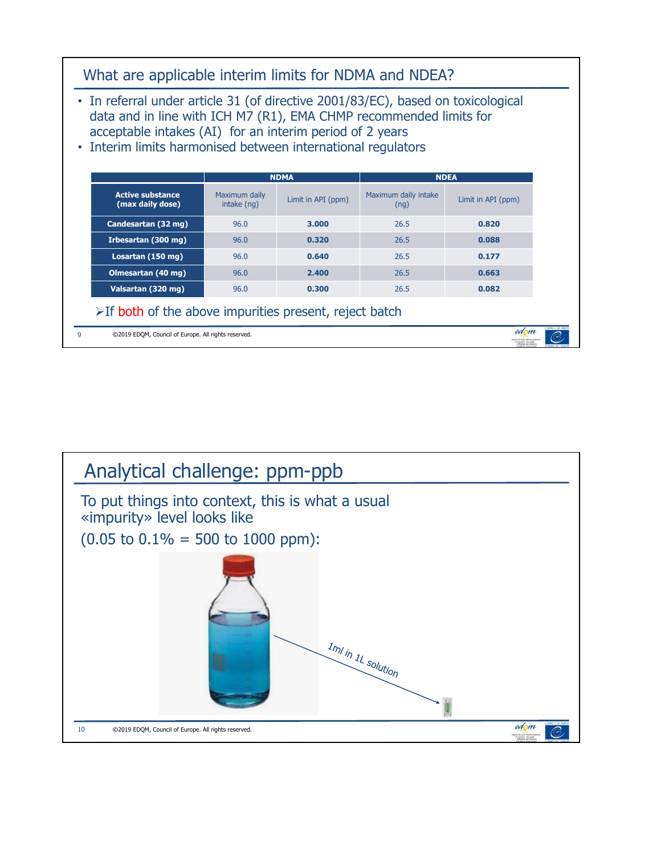

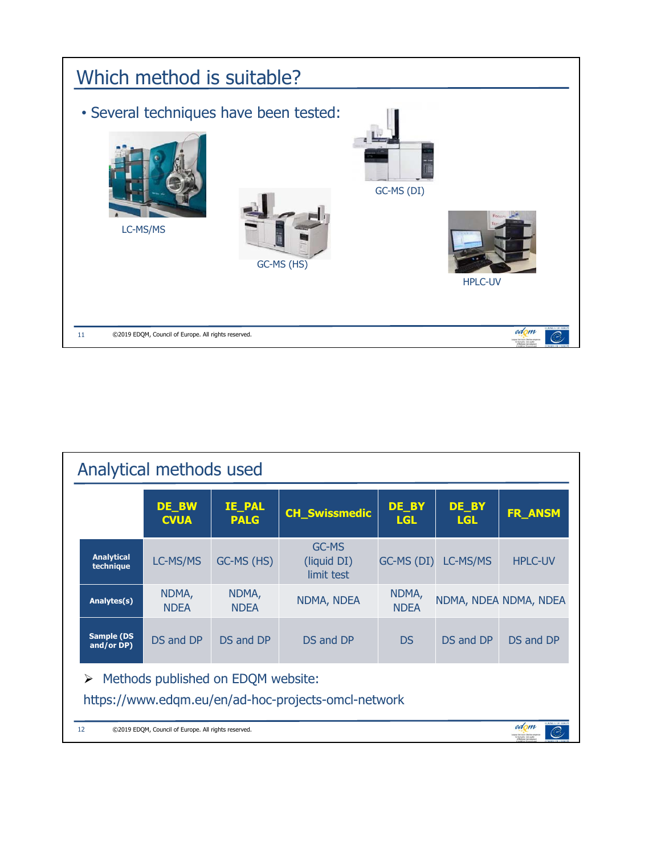

|                                                                                                            | Analytical methods used                                                                                                 |                              |                                    |                      |                     |                       |  |  |
|------------------------------------------------------------------------------------------------------------|-------------------------------------------------------------------------------------------------------------------------|------------------------------|------------------------------------|----------------------|---------------------|-----------------------|--|--|
|                                                                                                            | DE_BW<br><b>CVUA</b>                                                                                                    | <b>IE_PAL</b><br><b>PALG</b> | <b>CH_Swissmedic</b>               | DE_BY<br><b>LGL</b>  | DE_BY<br><b>LGL</b> | FR_ANSM               |  |  |
| <b>Analytical</b><br>technique                                                                             | LC-MS/MS                                                                                                                | GC-MS (HS)                   | GC-MS<br>(liquid DI)<br>limit test | GC-MS (DI)           | LC-MS/MS            | <b>HPLC-UV</b>        |  |  |
| Analytes(s)                                                                                                | NDMA,<br><b>NDEA</b>                                                                                                    | NDMA,<br><b>NDEA</b>         | NDMA, NDEA                         | NDMA,<br><b>NDEA</b> |                     | NDMA, NDEA NDMA, NDEA |  |  |
| Sample (DS<br>and/or DP)                                                                                   | DS and DP                                                                                                               | DS and DP                    | DS and DP                          | D <sub>S</sub>       | DS and DP           | DS and DP             |  |  |
| $\triangleright$ Methods published on EDQM website:<br>https://www.edgm.eu/en/ad-hoc-projects-omcl-network |                                                                                                                         |                              |                                    |                      |                     |                       |  |  |
| 12                                                                                                         | edom<br>©2019 EDOM, Council of Europe. All rights reserved.<br>nav Dentsearr (Bevitens)<br>For the Dunkty (de la musik) |                              |                                    |                      |                     |                       |  |  |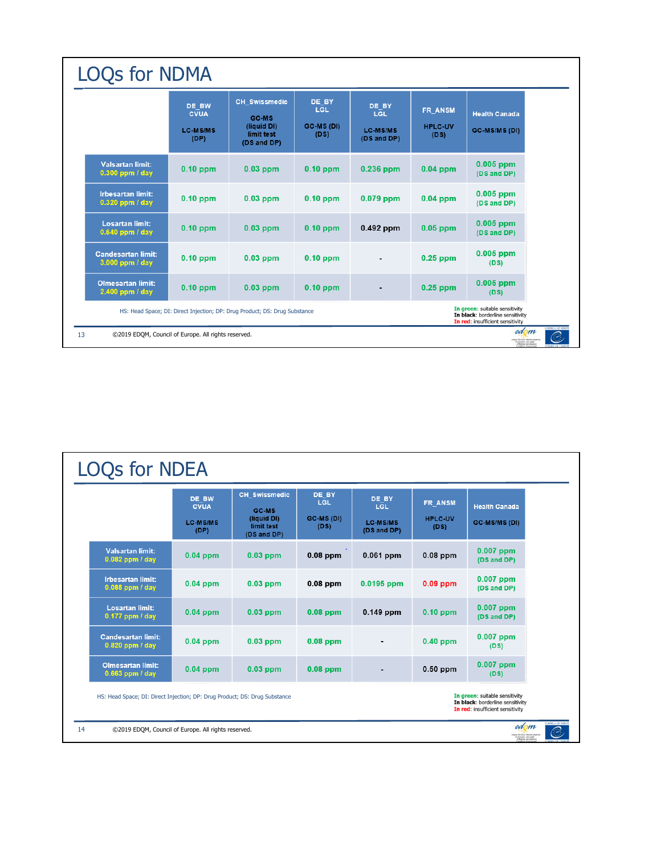| <b>LOQs for NDMA</b>                                                                                                                                                                 |                                                 |                                                                           |                                    |                                                |                                   |                                       |
|--------------------------------------------------------------------------------------------------------------------------------------------------------------------------------------|-------------------------------------------------|---------------------------------------------------------------------------|------------------------------------|------------------------------------------------|-----------------------------------|---------------------------------------|
|                                                                                                                                                                                      | DE BW<br><b>CVUA</b><br><b>LC-MS/MS</b><br>(DP) | <b>CH</b> Swissmedic<br>GC-MS<br>(liquid DI)<br>limit test<br>(DS and DP) | DE BY<br>LGL<br>GC-MS (DI)<br>(DS) | DE BY<br>LGL<br><b>LC-MS/MS</b><br>(DS and DP) | FR ANSM<br><b>HPLC-UV</b><br>(DS) | <b>Health Canada</b><br>GC-MS/MS (DI) |
| <b>Valsartan limit:</b><br>0.300 ppm / day                                                                                                                                           | $0.10$ ppm                                      | $0.03$ ppm                                                                | $0.10$ ppm                         | 0.236 ppm                                      | $0.04$ ppm                        | $0.005$ ppm<br>(DS and DP)            |
| <b>Irbesartan limit:</b><br>$0.320$ ppm / day                                                                                                                                        | $0.10$ ppm                                      | $0.03$ ppm                                                                | $0.10$ ppm                         | $0.079$ ppm                                    | $0.04$ ppm                        | $0.005$ ppm<br>(DS and DP)            |
| <b>Losartan limit:</b><br>0.640 ppm / day                                                                                                                                            | $0.10$ ppm                                      | $0.03$ ppm                                                                | $0.10$ ppm                         | 0.492 ppm                                      | $0.05$ ppm                        | $0.005$ ppm<br>(DS and DP)            |
| <b>Candesartan limit:</b><br>3.000 ppm / day                                                                                                                                         | $0.10$ ppm                                      | $0.03$ ppm                                                                | $0.10$ ppm                         |                                                | $0.25$ ppm                        | $0.005$ ppm<br>(DS)                   |
| <b>Olmesartan limit:</b><br>2.400 ppm / day                                                                                                                                          | $0.10$ ppm                                      | $0.03$ ppm                                                                | $0.10$ ppm                         |                                                | $0.25$ ppm                        | $0.005$ ppm<br>(DS)                   |
| In green: suitable sensitivity<br>HS: Head Space; DI: Direct Injection; DP: Drug Product; DS: Drug Substance<br>In black: borderline sensitivity<br>In red: insufficient sensitivity |                                                 |                                                                           |                                    |                                                |                                   |                                       |
| edom<br>©2019 EDQM, Council of Europe. All rights reserved.<br>purchasis are the basic of                                                                                            |                                                 |                                                                           |                                    |                                                |                                   |                                       |

|                                                                                                                                                                                      | DE BW<br><b>CVUA</b><br><b>LC-MS/MS</b><br>(DP) | <b>CH Swissmedic</b><br>GC-MS<br>(liquid DI)<br>limit test<br>(DS and DP) | DE BY<br>LGL<br>GC-MS (DI)<br>(DS) | DE BY<br>LGL<br><b>LC-MS/MS</b><br>(DS and DP) | FR ANSM<br><b>HPLC-UV</b><br>(DS) | <b>Health Canada</b><br>GC-MS/MS (DI) |
|--------------------------------------------------------------------------------------------------------------------------------------------------------------------------------------|-------------------------------------------------|---------------------------------------------------------------------------|------------------------------------|------------------------------------------------|-----------------------------------|---------------------------------------|
| <b>Valsartan limit:</b><br>0.082 ppm / day                                                                                                                                           | $0.04$ ppm                                      | $0.03$ ppm                                                                | $0.08$ ppm                         | $0.061$ ppm                                    | $0.08$ ppm                        | $0.007$ ppm<br>(DS and DP)            |
| <b>Irbesartan limit:</b><br>0.088 ppm / day                                                                                                                                          | $0.04$ ppm                                      | $0.03$ ppm                                                                | $0.08$ ppm                         | $0.0195$ ppm                                   | $0.09$ ppm                        | $0.007$ ppm<br>(DS and DP)            |
| <b>Losartan limit:</b><br>0.177 ppm / day                                                                                                                                            | $0.04$ ppm                                      | $0.03$ ppm                                                                | $0.08$ ppm                         | $0.149$ ppm                                    | $0.10$ ppm                        | 0.007 ppm<br>(DS and DP)              |
| <b>Candesartan limit:</b><br>0.820 ppm / day                                                                                                                                         | $0.04$ ppm                                      | $0.03$ ppm                                                                | $0.08$ ppm                         |                                                | $0.40$ ppm                        | $0.007$ ppm<br>(DS)                   |
| <b>Olmesartan limit:</b><br>0.663 ppm / day                                                                                                                                          | $0.04$ ppm                                      | $0.03$ ppm                                                                | $0.08$ ppm                         |                                                | $0.50$ ppm                        | $0.007$ ppm<br>(DS)                   |
| In green: suitable sensitivity<br>HS: Head Space; DI: Direct Injection; DP: Drug Product; DS: Drug Substance<br>In black: borderline sensitivity<br>In red: insufficient sensitivity |                                                 |                                                                           |                                    |                                                |                                   |                                       |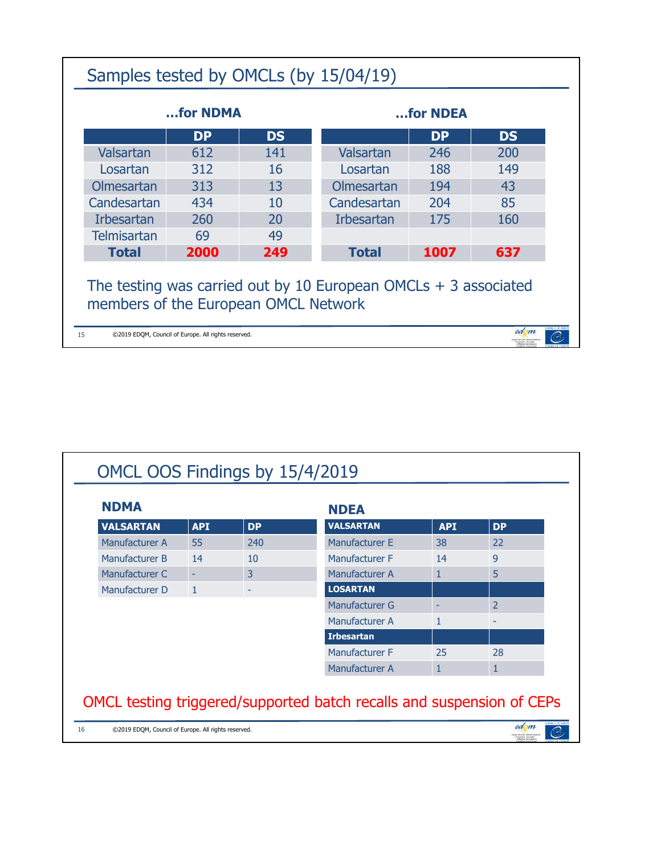|                                                                                                           | for NDMA                                         |     | for NDEA          |      |     |  |
|-----------------------------------------------------------------------------------------------------------|--------------------------------------------------|-----|-------------------|------|-----|--|
|                                                                                                           | <b>DP</b><br><b>DP</b><br><b>DS</b><br><b>DS</b> |     |                   |      |     |  |
| Valsartan                                                                                                 | 612                                              | 141 | Valsartan         | 246  | 200 |  |
| Losartan                                                                                                  | 312                                              | 16  | Losartan          | 188  | 149 |  |
| Olmesartan                                                                                                | 313                                              | 13  | Olmesartan        | 194  | 43  |  |
| Candesartan                                                                                               | 434                                              | 10  | Candesartan       | 204  | 85  |  |
| <b>Irbesartan</b>                                                                                         | 260                                              | 20  | <b>Irbesartan</b> | 175  | 160 |  |
| <b>Telmisartan</b>                                                                                        | 69                                               | 49  |                   |      |     |  |
| <b>Total</b>                                                                                              | 2000                                             | 249 | <b>Total</b>      | 1007 | 637 |  |
| The testing was carried out by 10 European OMCLs $+$ 3 associated<br>members of the European OMCL Network |                                                  |     |                   |      |     |  |

| <b>NDMA</b>      |              |           | <b>NDEA</b>       |              |                |
|------------------|--------------|-----------|-------------------|--------------|----------------|
| <b>VALSARTAN</b> | <b>API</b>   | <b>DP</b> | <b>VALSARTAN</b>  | <b>API</b>   | <b>DP</b>      |
| Manufacturer A   | 55           | 240       | Manufacturer E    | 38           | 22             |
| Manufacturer B   | 14           | 10        | Manufacturer F    | 14           | 9              |
| Manufacturer C   | ٠            | 3         | Manufacturer A    | 1            | 5              |
| Manufacturer D   | $\mathbf{1}$ |           | <b>LOSARTAN</b>   |              |                |
|                  |              |           | Manufacturer G    | ٠            | $\overline{2}$ |
|                  |              |           | Manufacturer A    | $\mathbf{1}$ | ٠              |
|                  |              |           | <b>Irbesartan</b> |              |                |
|                  |              |           | Manufacturer F    | 25           | 28             |
|                  |              |           | Manufacturer A    | $\mathbf{1}$ | 1              |
|                  |              |           |                   |              |                |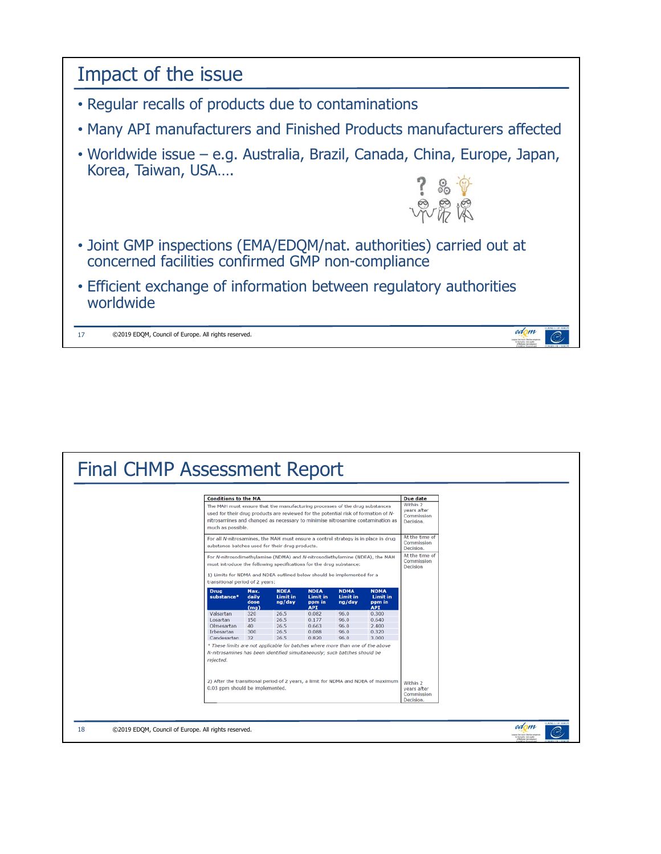

| <b>Final CHMP Assessment Report</b>                       |                                                                                                                                                                                                                                                                                                          |                               |                                      |                                           |                                          |                                           |                                                                       |                                                                       |
|-----------------------------------------------------------|----------------------------------------------------------------------------------------------------------------------------------------------------------------------------------------------------------------------------------------------------------------------------------------------------------|-------------------------------|--------------------------------------|-------------------------------------------|------------------------------------------|-------------------------------------------|-----------------------------------------------------------------------|-----------------------------------------------------------------------|
|                                                           | <b>Conditions to the MA</b><br>The MAH must ensure that the manufacturing processes of the drug substances<br>used for their drug products are reviewed for the potential risk of formation of N-<br>nitrosamines and changed as necessary to minimise nitrosamine contamination as<br>much as possible. |                               |                                      |                                           |                                          |                                           | <b>Due date</b><br>Within 2<br>vears after<br>Commission<br>Decision. |                                                                       |
|                                                           | For all N-nitrosamines, the MAH must ensure a control strategy is in place in drug<br>substance batches used for their drug products.                                                                                                                                                                    |                               |                                      |                                           |                                          | At the time of<br>Commission<br>Decision. |                                                                       |                                                                       |
|                                                           | For N-nitrosodimethylamine (NDMA) and N-nitrosodiethylamine (NDEA), the MAH<br>must introduce the following specifications for the drug substance:                                                                                                                                                       |                               |                                      |                                           |                                          | At the time of<br>Commission<br>Decision  |                                                                       |                                                                       |
|                                                           | 1) Limits for NDMA and NDEA outlined below should be implemented for a<br>transitional period of 2 years:<br><b>NDEA</b><br><b>NDEA</b><br><b>NDMA</b>                                                                                                                                                   |                               |                                      |                                           |                                          |                                           |                                                                       |                                                                       |
|                                                           | <b>Drug</b><br>substance*                                                                                                                                                                                                                                                                                | Max.<br>daily<br>dose<br>(mq) | <b>Limit in</b><br>ng/day            | <b>Limit in</b><br>ppm in<br><b>API</b>   | <b>NDMA</b><br><b>Limit in</b><br>ng/day | <b>Limit in</b><br>ppm in<br><b>API</b>   |                                                                       |                                                                       |
|                                                           | Valsartan<br>Losartan<br>Olmesartan<br><b>Irbesartan</b><br>Candesartan                                                                                                                                                                                                                                  | 320<br>150<br>40<br>300<br>32 | 26.5<br>26.5<br>26.5<br>26.5<br>26.5 | 0.082<br>0.177<br>0.663<br>0.088<br>0.820 | 96.0<br>96.0<br>96.0<br>96.0<br>96.0     | 0.300<br>0.640<br>2.400<br>0.320<br>3.000 |                                                                       |                                                                       |
|                                                           | * These limits are not applicable for batches where more than one of the above<br>N-nitrosamines has been identified simultaneously; such batches should be<br>rejected.                                                                                                                                 |                               |                                      |                                           |                                          |                                           |                                                                       |                                                                       |
|                                                           | 2) After the transitional period of 2 years, a limit for NDMA and NDEA of maximum<br>0.03 ppm should be implemented.                                                                                                                                                                                     |                               |                                      |                                           |                                          |                                           | Within 2<br>vears after<br>Commission<br>Decision.                    |                                                                       |
| 18<br>©2019 EDQM, Council of Europe. All rights reserved. |                                                                                                                                                                                                                                                                                                          |                               |                                      |                                           |                                          |                                           |                                                                       | edom<br>gean Similarate (Similara est)<br>Tor the Duelty (to browline |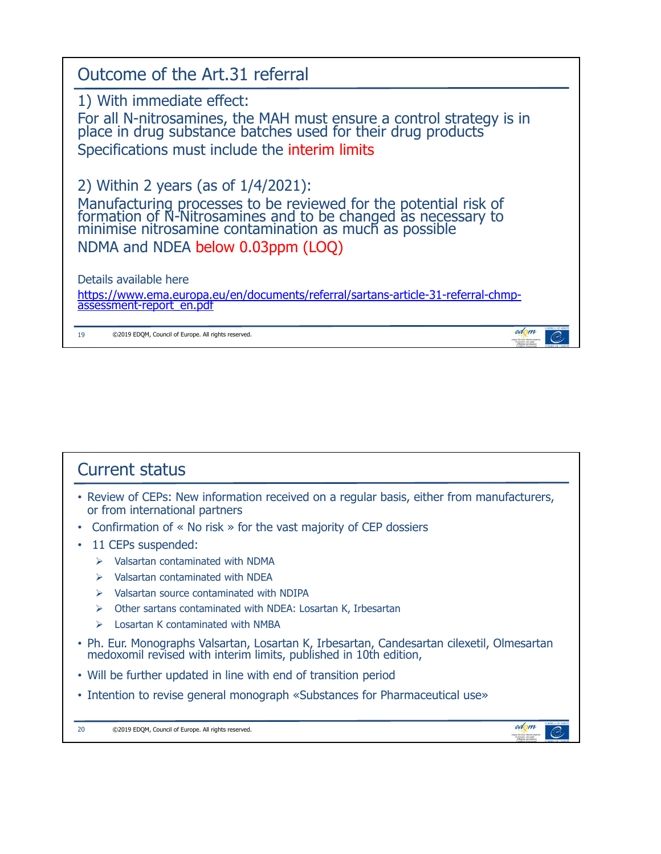

### Current status

- Review of CEPs: New information received on a regular basis, either from manufacturers, or from international partners
- Confirmation of « No risk » for the vast majority of CEP dossiers
- 11 CEPs suspended:
	- $\triangleright$  Valsartan contaminated with NDMA
	- $\triangleright$  Valsartan contaminated with NDEA
	- $\triangleright$  Valsartan source contaminated with NDIPA
	- $\triangleright$  Other sartans contaminated with NDEA: Losartan K, Irbesartan
	- $\triangleright$  Losartan K contaminated with NMBA
- Ph. Eur. Monographs Valsartan, Losartan K, Irbesartan, Candesartan cilexetil, Olmesartan medoxomil revised with interim limits, published in 10th edition,

edom

 $\widehat{C}$ 

- Will be further updated in line with end of transition period
- Intention to revise general monograph «Substances for Pharmaceutical use»
- 20 ©2019 EDQM, Council of Europe. All rights reserved.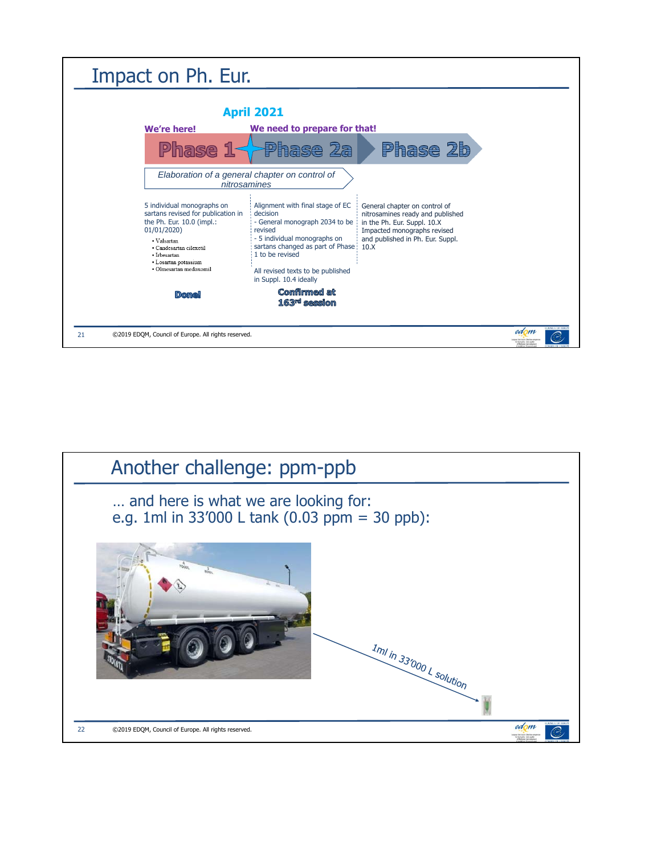

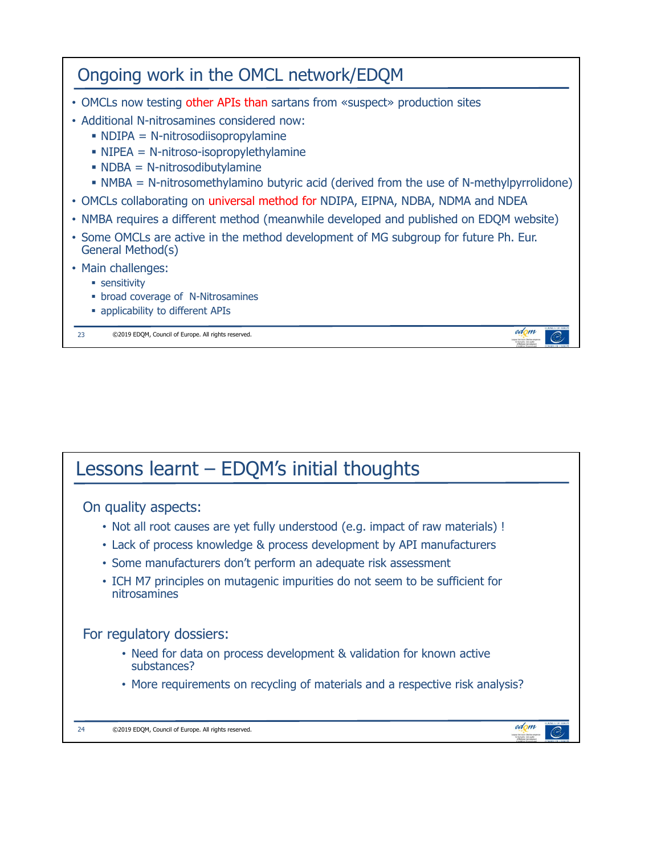| Ongoing work in the OMCL network/EDQM                                                                                                                                                                                                                                                                                                                                                                                                                                |
|----------------------------------------------------------------------------------------------------------------------------------------------------------------------------------------------------------------------------------------------------------------------------------------------------------------------------------------------------------------------------------------------------------------------------------------------------------------------|
| • OMCLs now testing other APIs than sartans from «suspect» production sites<br>• Additional N-nitrosamines considered now:<br>$\blacksquare$ NDIPA = N-nitrosodiisopropylamine<br>$\blacksquare$ NIPEA = N-nitroso-isopropylethylamine<br>$\blacksquare$ NDBA = N-nitrosodibutylamine<br>• NMBA = N-nitrosomethylamino butyric acid (derived from the use of N-methylpyrrolidone)<br>• OMCLs collaborating on universal method for NDIPA, EIPNA, NDBA, NDMA and NDEA |
| • NMBA requires a different method (meanwhile developed and published on EDQM website)<br>• Some OMCLs are active in the method development of MG subgroup for future Ph. Eur.<br>General Method(s)                                                                                                                                                                                                                                                                  |
| • Main challenges:<br>• sensitivity<br>• broad coverage of N-Nitrosamines<br>• applicability to different APIs                                                                                                                                                                                                                                                                                                                                                       |
| edom<br>23<br>©2019 EDQM, Council of Europe. All rights reserved.                                                                                                                                                                                                                                                                                                                                                                                                    |

# Lessons learnt – EDQM's initial thoughts

#### On quality aspects:

- Not all root causes are yet fully understood (e.g. impact of raw materials) !
- Lack of process knowledge & process development by API manufacturers
- Some manufacturers don't perform an adequate risk assessment
- ICH M7 principles on mutagenic impurities do not seem to be sufficient for nitrosamines

#### For regulatory dossiers:

- Need for data on process development & validation for known active substances?
- More requirements on recycling of materials and a respective risk analysis?

edom

organ Strategy

 $\subset$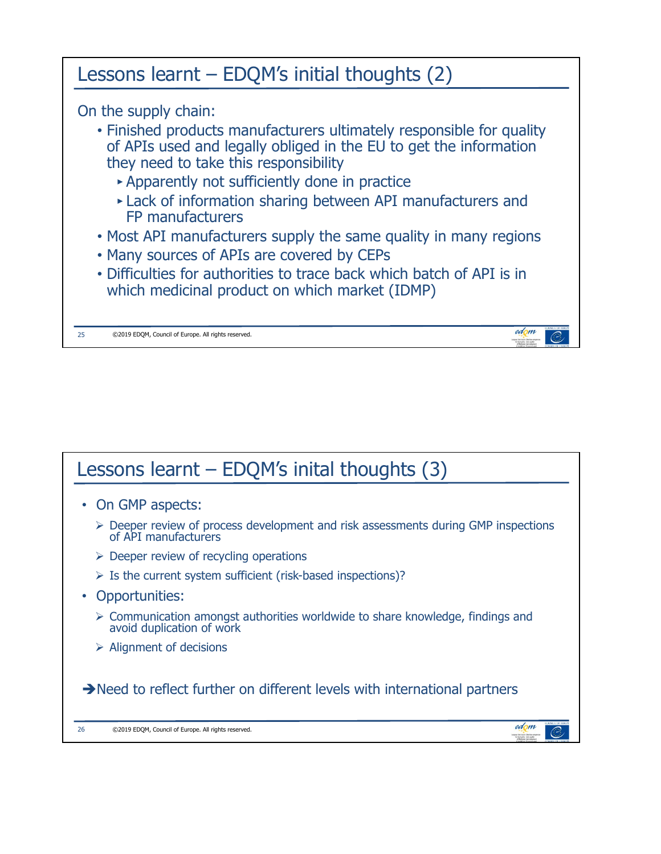